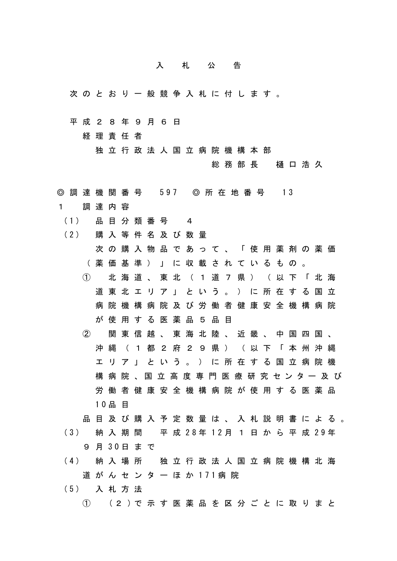## 入札公告

- 次のとおり一般競争入札に付します。
- 平成28年9月6日

経理責任者

独立行政法人国立病院機構本部

総務部長 樋口浩久

- ◎ 調 達 機 関 番 号 597 ◎ 所 在 地 番 号 13
- 1 調達内容
- (1) 品 目 分 類 番 号 4
- (2) 購 入 等 件 名 及 び 数 量
	- 次の購入物品であって、「使用薬剤の薬価 (薬価基準)」に収載されているもの。
	- ① 北海道、東北(1道7県)(以下「北海 道東北エリア」という。)に所在する国立 病院機構病院及び労働者健康安全機構病院 が使用する医薬品5品目
	- ② 関東信越、東海北陸、近畿、中国四国、 沖縄(1都2府29県)(以下「本州沖縄 エリア」という。)に所在する国立病院機 構病院 、国立高度専門医療研究センター 及 び 労働者健康安全機構病院が使用する医薬品 10品 目
	- 品目及び購入予定数量は、入札説明書による。
- (3) 納 入 期 間 平 成 28年 12月 1 日 か ら 平 成 29年 9 月 30日 ま で
- (4) 納 入 場 所 独 立 行 政 法 人 国 立 病 院 機 構 北 海 道 が ん セ ン タ ー ほ か 171病 院
- (5) 入 札 方 法
	- ① (2 )で 示 す 医 薬 品 を 区 分 ご と に 取 り ま と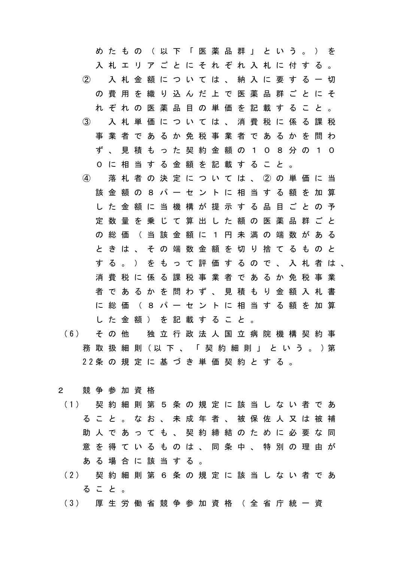めたもの (以下「医薬品群」という。) を 入札エリアごとにそれぞれ入札に付する。 ② 入札金額については、納入に要する一切 の費用を織り込んだ上で医薬品群ごとにそ れぞれの医薬品目の単価を記載すること。 ③ 入札単価については、消費税に係る課税 事業者であるか免税事業者であるかを問わ ず、見積もった契約金額の108分の10 0に相当する金額を記載すること。 ④ 落札者の決定については、②の単価に当 該金額の8パーセントに相当する額を加算 した金額に当機構が提示する品目ごとの予 定数量を乗じて算出した額の医薬品群ごと の総価 (当該金額に1円未満の端数がある ときは、その端数金額を切り捨てるものと する。)をもって評価するので、入札者は、 消費税に係る課税事業者であるか免税事業 者であるかを問わず、見積もり金額入札書 に総価(8パーセントに相当する額を加算 した金額)を記載すること。

- (6) そ の 他 独 立 行 政 法 人 国 立 病 院 機 構 契 約 事 務 取 扱 細 則 (以 下 、 「 契 約 細 則 」 と い う 。 )第 22条 の 規 定 に 基 づ き 単 価 契 約 と す る 。
- 2 競争参加資格
- (1) 契 約 細 則 第 5 条 の 規 定 に 該 当 し な い 者 で あ ること。なお、未成年者、被保佐人又は被補 助人であっても、契約締結のために必要な同 意を得ているものは、同条中、特別の理由が ある場合に該当する。
- (2) 契 約 細 則 第 6 条 の 規 定 に 該 当 し な い 者 で あ ること。
- (3) 厚 生 労 働 省 競 争 参 加 資 格 ( 全 省 庁 統 一 資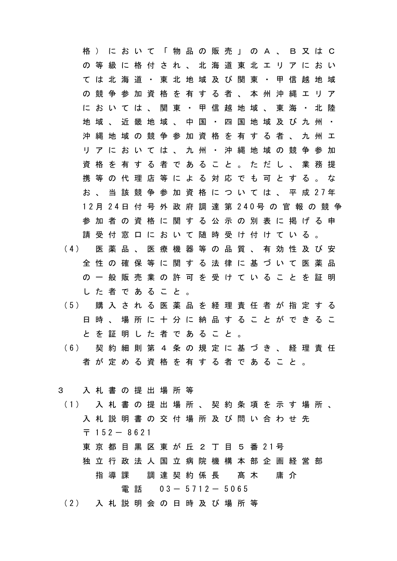格)において「物品の販売」のA、B又はC の等級に格付され、北海道東北エリアにおい ては北海道・東北地域及び関東・甲信越地域 の競争参加資格を有する者、本州沖縄エリア においては、関東・甲信越地域、東海・北陸 地域、近畿地域、中国・四国地域及び九州・ 沖縄地域の競争参加資格を有する者、九州エ リアにおいては、九州・沖縄地域の競争参加 資格を有する者であること。ただし、業務提 携等の代理店等による対応でも可とする。な お 、 当 該 競 争 参 加 資 格 に つ い て は 、 平 成 27年 12月 24日 付 号 外 政 府 調 達 第 240号 の 官 報 の 競 争 参加者の資格に関する公示の別表に掲げる申 請受付窓口において随時受け付けている。 (4) 医 薬 品 、 医 療 機 器 等 の 品 質 、 有 効 性 及 び 安 全性の確保等に関する法律に基づいて医薬品 の一般販売業の許可を受けていることを証明 した者であること。 (5) 購 入 さ れ る 医 薬 品 を 経 理 責 任 者 が 指 定 す る 日時、場所に十分に納品することができるこ とを証明した者であること。

- (6) 契 約 細 則 第 4 条 の 規 定 に 基 づ き 、 経 理 責 任 者が定める資格を有する者であること。
- 3 入札書の提出場所等
- (1) 入 札 書 の 提 出 場 所 、 契 約 条 項 を 示 す 場 所 、 入札説明書の交付場所及び問い合わせ先  $7152 - 8621$ 
	- 東 京 都 目 黒 区 東 が 丘 2 丁 目 5 番 21号
	- 独立行政法人国立病院機構本部企画経営部 指 導 課 調 達 契 約 係 長 髙 木 庸 介 電話 03- 5712- 5065
- (2) 入 札 説 明 会 の 日 時 及 び 場 所 等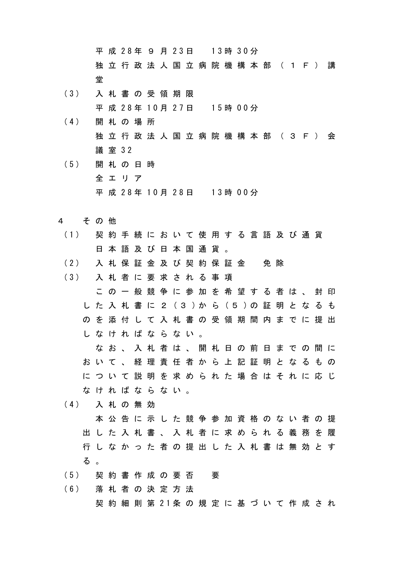平 成 28年 9 月 23日 13時 30分 独立行政法人国立病院機構本部(1F)講 堂

- (3) 入 札 書 の 受 領 期 限 平 成 28年 10月 27日 15時 00分
- (4) 開 札 の 場 所 独立行政法人国立病院機構本部(3F)会 議 室 32
- (5) 開 札 の 日 時 全エリア 平 成 28年 10月 28日 13時 00分
- 4 その他
- (1) 契 約 手 続 に お い て 使 用 す る 言 語 及 び 通 貨 日本語及び日本国通貨。
- (2) 入 札 保 証 金 及 び 契 約 保 証 金 免 除
- (3) 入 札 者 に 要 求 さ れ る 事 項 この一般競争に参加を希望する者は、封印 し た 入 札 書 に 2 (3 )か ら (5 )の 証 明 と な る も のを添付して入札書の受領期間内までに提出 しなければならない。
	- なお、入札者は、開札日の前日までの間に おいて、経理責任者から上記証明となるもの について説明を求められた場合はそれに応じ なければならない。
- (4) 入 札 の 無 効
	- 本公告に示した競争参加資格のない者の提 出した入札書、入札者に求められる義務を履 行しなかった者の提出した入札書は無効とす る 。
- (5) 契 約 書 作 成 の 要 否 要
- (6) 落 札 者 の 決 定 方 法
	- 契 約 細 則 第 21条 の 規 定 に 基 づ い て 作 成 さ れ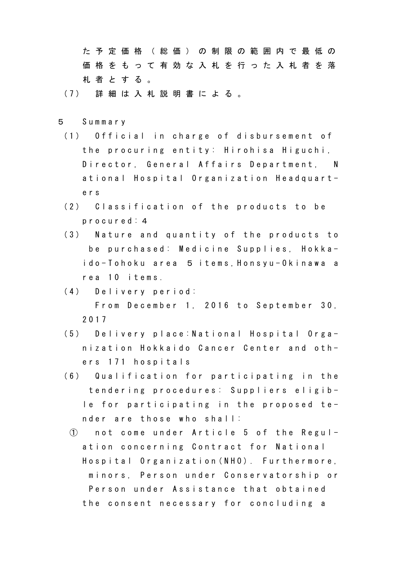た予定価格(総価)の制限の範囲内で最低の 価格をもって有効な入札を行った入札者を落 札者とする。

- (7) 詳 細 は 入 札 説 明 書 に よ る 。
- 5 Summary
- (1) Official in charge of disbursement of the procuring entity: Hirohisa Higuchi, Director, General Affairs Department, N ational Hospital Organization Headquarters
- (2) Classification of the products to be procured:4
- (3) Nature and quantity of the products to be purchased: Medicine Supplies, Hokkaido-Tohoku area 5 items,Honsyu-Okinawa a rea 10 items.
- (4) Delivery period: From December 1, 2016 to September 30, 2017
- (5) Delivery place:National Hospital Organization Hokkaido Cancer Center and others 171 hospitals
- (6) Qualification for participating in the tendering procedures: Suppliers eligible for participating in the proposed tender are those who shall:
	- ① not come under Article 5 of the Regulation concerning Contract for National Hospital Organization(NHO). Furthermore, minors, Person under Conservatorship or Person under Assistance that obtained the consent necessary for concluding a